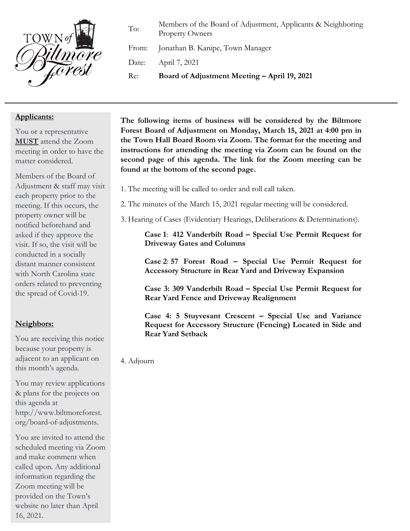

To: Members of the Board of Adjustment, Applicants & Neighboring Property Owners

From: Jonathan B. Kanipe, Town Manager

Date: April 7, 2021

Re: **Board of Adjustment Meeting – April 19, 2021**

## **Applicants:**

You or a representative **MUST** attend the Zoom meeting in order to have the matter considered.

Members of the Board of Adjustment & staff may visit each property prior to the meeting. If this occurs, the property owner will be notified beforehand and asked if they approve the visit. If so, the visit will be conducted in a socially distant manner consistent with North Carolina state orders related to preventing the spread of Covid-19.

## **Neighbors:**

You are receiving this notice because your property is adjacent to an applicant on this month's agenda.

You may review applications & plans for the projects on this agenda at http://www.biltmoreforest. org/board-of-adjustments.

You are invited to attend the scheduled meeting via Zoom and make comment when called upon. Any additional information regarding the Zoom meeting will be provided on the Town's website no later than April 16, 2021.

**The following items of business will be considered by the Biltmore Forest Board of Adjustment on Monday, March 15, 2021 at 4:00 pm in the Town Hall Board Room via Zoom. The format for the meeting and instructions for attending the meeting via Zoom can be found on the second page of this agenda. The link for the Zoom meeting can be found at the bottom of the second page.**

- 1. The meeting will be called to order and roll call taken.
- 2. The minutes of the March 15, 2021 regular meeting will be considered.
- 3. Hearing of Cases (Evidentiary Hearings, Deliberations & Determinations).

**Case 1**: **412 Vanderbilt Road – Special Use Permit Request for Driveway Gates and Columns**

**Case 2**: **57 Forest Road – Special Use Permit Request for Accessory Structure in Rear Yard and Driveway Expansion**

**Case 3: 309 Vanderbilt Road – Special Use Permit Request for Rear Yard Fence and Driveway Realignment**

**Case 4: 5 Stuyvesant Crescent – Special Use and Variance Request for Accessory Structure (Fencing) Located in Side and Rear Yard Setback**

4. Adjourn